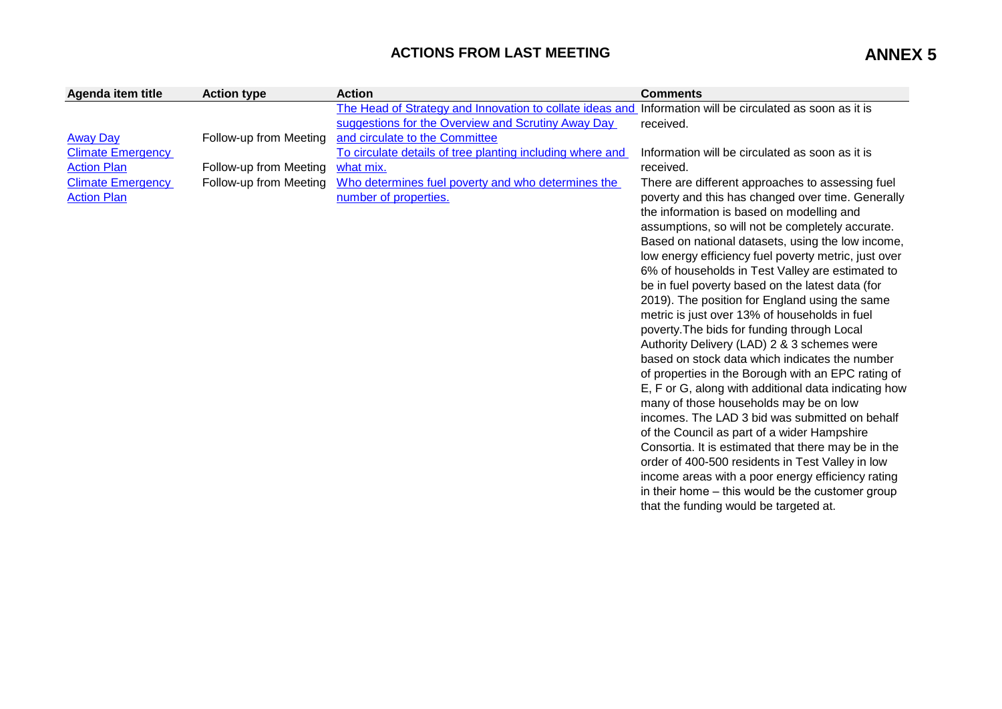## ACTIONS FROM LAST MEETING<br> **ANNEX 5**

| Agenda item title        | <b>Action type</b>     | <b>Action</b>                                             | <b>Comments</b>                                                                                            |
|--------------------------|------------------------|-----------------------------------------------------------|------------------------------------------------------------------------------------------------------------|
|                          |                        | The Head of Strategy and Innovation to collate ideas and  | Information will be circulated as soon as it is                                                            |
|                          |                        | suggestions for the Overview and Scrutiny Away Day        | received.                                                                                                  |
| <b>Away Day</b>          | Follow-up from Meeting | and circulate to the Committee                            |                                                                                                            |
| <b>Climate Emergency</b> |                        | To circulate details of tree planting including where and | Information will be circulated as soon as it is                                                            |
| <b>Action Plan</b>       | Follow-up from Meeting | what mix.                                                 | received.                                                                                                  |
| <b>Climate Emergency</b> | Follow-up from Meeting | Who determines fuel poverty and who determines the        | There are different approaches to assessing fuel                                                           |
| <b>Action Plan</b>       |                        | number of properties.                                     | poverty and this has changed over time. Generally                                                          |
|                          |                        |                                                           | the information is based on modelling and                                                                  |
|                          |                        |                                                           | assumptions, so will not be completely accurate.                                                           |
|                          |                        |                                                           | Based on national datasets, using the low income,                                                          |
|                          |                        |                                                           | low energy efficiency fuel poverty metric, just over                                                       |
|                          |                        |                                                           | 6% of households in Test Valley are estimated to                                                           |
|                          |                        |                                                           | be in fuel poverty based on the latest data (for                                                           |
|                          |                        |                                                           | 2019). The position for England using the same                                                             |
|                          |                        |                                                           | metric is just over 13% of households in fuel                                                              |
|                          |                        |                                                           | poverty. The bids for funding through Local                                                                |
|                          |                        |                                                           | Authority Delivery (LAD) 2 & 3 schemes were<br>based on stock data which indicates the number              |
|                          |                        |                                                           |                                                                                                            |
|                          |                        |                                                           | of properties in the Borough with an EPC rating of<br>E, F or G, along with additional data indicating how |
|                          |                        |                                                           | many of those households may be on low                                                                     |
|                          |                        |                                                           | incomes. The LAD 3 bid was submitted on behalf                                                             |
|                          |                        |                                                           | of the Council as part of a wider Hampshire                                                                |
|                          |                        |                                                           | Consortia. It is estimated that there may be in the                                                        |
|                          |                        |                                                           | order of 400-500 residents in Test Valley in low                                                           |
|                          |                        |                                                           | income areas with a poor energy efficiency rating                                                          |
|                          |                        |                                                           | in their home – this would be the customer group                                                           |
|                          |                        |                                                           | that the funding would be targeted at.                                                                     |
|                          |                        |                                                           |                                                                                                            |